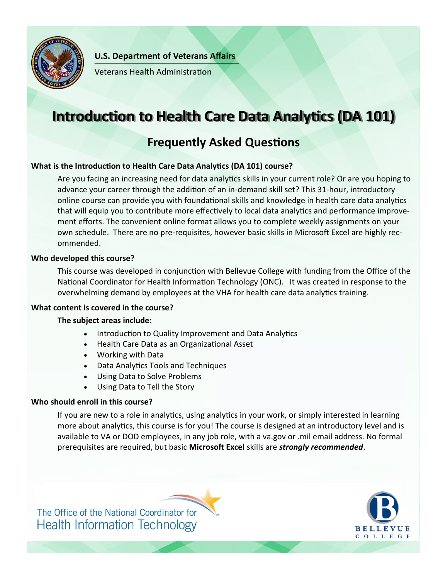

**U.S. Department of Veterans Affairs** 

**Veterans Health Administration** 

# **Introduction to Health Care Data Analytics (DA 101)**

# **Frequently Asked Questions**

# **What is the Introduction to Health Care Data Analytics (DA 101) course?**

Are you facing an increasing need for data analytics skills in your current role? Or are you hoping to advance your career through the addition of an in-demand skill set? This 31-hour, introductory online course can provide you with foundational skills and knowledge in health care data analytics that will equip you to contribute more effectively to local data analytics and performance improvement efforts. The convenient online format allows you to complete weekly assignments on your own schedule. There are no pre-requisites, however basic skills in Microsoft Excel are highly recommended.

# **Who developed this course?**

This course was developed in conjunction with Bellevue College with funding from the Office of the National Coordinator for Health Information Technology (ONC). It was created in response to the overwhelming demand by employees at the VHA for health care data analytics training.

# **What content is covered in the course?**

# **The subject areas include:**

- Introduction to Quality Improvement and Data Analytics
- Health Care Data as an Organizational Asset
- Working with Data
- Data Analytics Tools and Techniques
- Using Data to Solve Problems
- Using Data to Tell the Story

# **Who should enroll in this course?**

If you are new to a role in analytics, using analytics in your work, or simply interested in learning more about analytics, this course is for you! The course is designed at an introductory level and is available to VA or DOD employees, in any job role, with a va.gov or .mil email address. No formal prerequisites are required, but basic **Microsoft Excel** skills are *strongly recommended*.



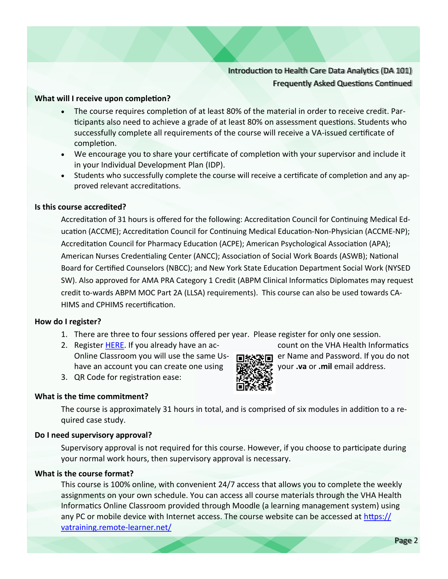# Introduction to Health Care Data Analytics (DA 101) Frequently Asked Questions Continued

#### **What will I receive upon completion?**

- The course requires completion of at least 80% of the material in order to receive credit. Participants also need to achieve a grade of at least 80% on assessment questions. Students who successfully complete all requirements of the course will receive a VA-issued certificate of completion.
- We encourage you to share your certificate of completion with your supervisor and include it in your Individual Development Plan (IDP).
- Students who successfully complete the course will receive a certificate of completion and any approved relevant accreditations.

#### **Is this course accredited?**

Accreditation of 31 hours is offered for the following: Accreditation Council for Continuing Medical Education (ACCME); Accreditation Council for Continuing Medical Education-Non-Physician (ACCME-NP); Accreditation Council for Pharmacy Education (ACPE); American Psychological Association (APA); American Nurses Credentialing Center (ANCC); Association of Social Work Boards (ASWB); National Board for Certified Counselors (NBCC); and New York State Education Department Social Work (NYSED SW). Also approved for AMA PRA Category 1 Credit (ABPM Clinical Informatics Diplomates may request credit to-wards ABPM MOC Part 2A (LLSA) requirements). This course can also be used towards CA-HIMS and CPHIMS recertification.

#### **How do I register?**

- 1. There are three to four sessions offered per year. Please register for only one session.
- 2. Register [HERE.](https://vatraining.remote-learner.net/mod/page/view.php?id=18438) If you already have an ac-<br> **Example 2. Count on the VHA Health Informatics** Online Classroom you will use the same Us- er Name and Password. If you do not have an account you can create one using your **.va** or **.mil** email address.
- 3. QR Code for registration ease:

#### **What is the time commitment?**

The course is approximately 31 hours in total, and is comprised of six modules in addition to a required case study.

#### **Do I need supervisory approval?**

Supervisory approval is not required for this course. However, if you choose to participate during your normal work hours, then supervisory approval is necessary.

#### **What is the course format?**

This course is 100% online, with convenient 24/7 access that allows you to complete the weekly assignments on your own schedule. You can access all course materials through the VHA Health Informatics Online Classroom provided through Moodle (a learning management system) using any PC or mobile device with Internet access. The course website can be accessed at [https://](https://vatraining.remote-learner.net/) [vatraining.remote](https://vatraining.remote-learner.net/)-learner.net/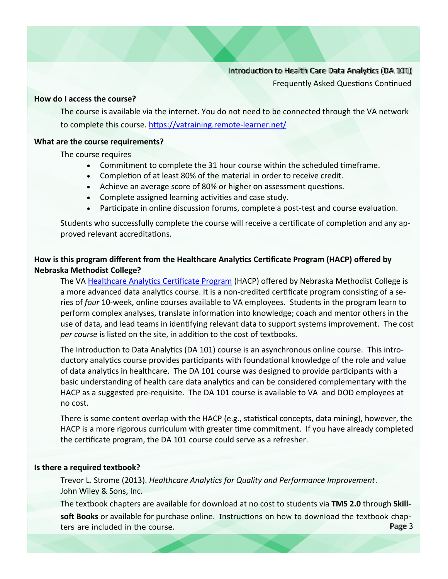# Introduction to Health Care Data Analytics (DA 101)

Frequently Asked Questions Continued

#### **How do I access the course?**

The course is available via the internet. You do not need to be connected through the VA network to complete this course. [https://vatraining.remote](https://vatraining.remote-learner.net/)-learner.net/

#### **What are the course requirements?**

The course requires

- Commitment to complete the 31 hour course within the scheduled timeframe.
- Completion of at least 80% of the material in order to receive credit.
- Achieve an average score of 80% or higher on assessment questions.
- Complete assigned learning activities and case study.
- Participate in online discussion forums, complete a post-test and course evaluation.

Students who successfully complete the course will receive a certificate of completion and any approved relevant accreditations.

### **How is this program different from the Healthcare Analytics Certificate Program (HACP) offered by Nebraska Methodist College?**

The VA [Healthcare Analytics Certificate Program](http://blog.methodistcollege.edu/hacp) (HACP) offered by Nebraska Methodist College is a more advanced data analytics course. It is a non-credited certificate program consisting of a series of *four* 10-week, online courses available to VA employees. Students in the program learn to perform complex analyses, translate information into knowledge; coach and mentor others in the use of data, and lead teams in identifying relevant data to support systems improvement. The cost *per course* is listed on the site, in addition to the cost of textbooks.

The Introduction to Data Analytics (DA 101) course is an asynchronous online course. This introductory analytics course provides participants with foundational knowledge of the role and value of data analytics in healthcare. The DA 101 course was designed to provide participants with a basic understanding of health care data analytics and can be considered complementary with the HACP as a suggested pre-requisite. The DA 101 course is available to VA and DOD employees at no cost.

There is some content overlap with the HACP (e.g., statistical concepts, data mining), however, the HACP is a more rigorous curriculum with greater time commitment. If you have already completed the certificate program, the DA 101 course could serve as a refresher.

#### **Is there a required textbook?**

Trevor L. Strome (2013). *Healthcare Analytics for Quality and Performance Improvement*. John Wiley & Sons, Inc.

The textbook chapters are available for download at no cost to students via **TMS 2.0** through **Skill-**

Page 3 **soft Books** or available for purchase online. Instructions on how to download the textbook chapters are included in the course.